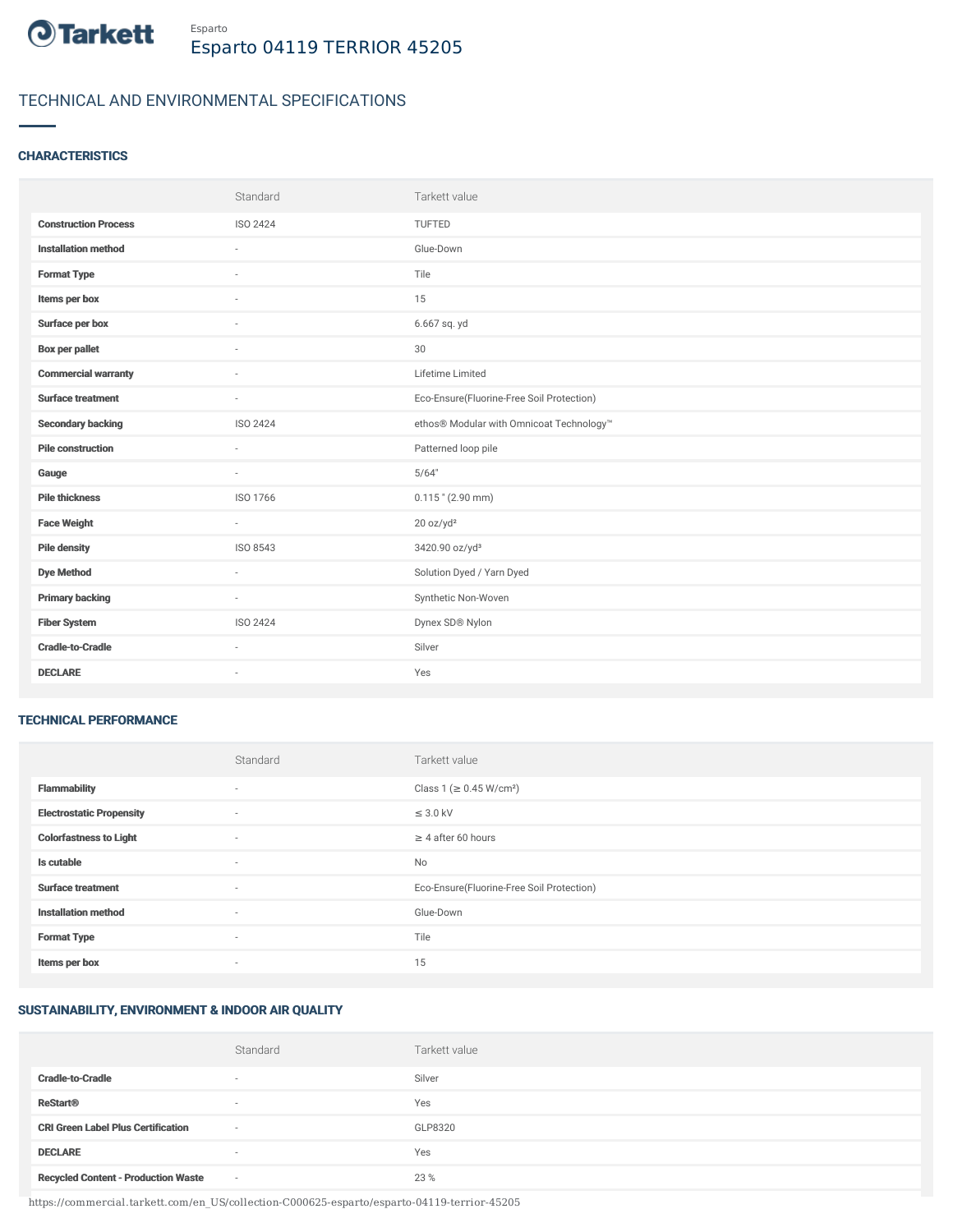

# TECHNICAL AND ENVIRONMENTAL SPECIFICATIONS

## **CHARACTERISTICS**

|                             | Standard        | Tarkett value                             |
|-----------------------------|-----------------|-------------------------------------------|
| <b>Construction Process</b> | ISO 2424        | TUFTED                                    |
| <b>Installation method</b>  | $\sim$          | Glue-Down                                 |
| <b>Format Type</b>          | ٠               | Tile                                      |
| Items per box               |                 | 15                                        |
| Surface per box             | $\sim$          | 6.667 sq. yd                              |
| <b>Box per pallet</b>       | $\sim$          | 30                                        |
| <b>Commercial warranty</b>  | $\sim$          | Lifetime Limited                          |
| <b>Surface treatment</b>    | $\sim$          | Eco-Ensure(Fluorine-Free Soil Protection) |
| <b>Secondary backing</b>    | <b>ISO 2424</b> | ethos® Modular with Omnicoat Technology™  |
| <b>Pile construction</b>    |                 | Patterned loop pile                       |
| Gauge                       | ×               | 5/64"                                     |
| <b>Pile thickness</b>       | ISO 1766        | $0.115$ " (2.90 mm)                       |
| <b>Face Weight</b>          | $\sim$          | 20 oz/yd <sup>2</sup>                     |
| <b>Pile density</b>         | ISO 8543        | 3420.90 oz/yd <sup>3</sup>                |
| <b>Dye Method</b>           | $\sim$          | Solution Dyed / Yarn Dyed                 |
| <b>Primary backing</b>      | $\sim$          | Synthetic Non-Woven                       |
| <b>Fiber System</b>         | ISO 2424        | Dynex SD® Nylon                           |
| <b>Cradle-to-Cradle</b>     | $\sim$          | Silver                                    |
| <b>DECLARE</b>              | $\sim$          | Yes                                       |

#### TECHNICAL PERFORMANCE

|                                 | Standard                 | Tarkett value                             |
|---------------------------------|--------------------------|-------------------------------------------|
| <b>Flammability</b>             | ٠                        | Class 1 (≥ 0.45 W/cm <sup>2</sup> )       |
| <b>Electrostatic Propensity</b> | $\sim$                   | $\leq$ 3.0 kV                             |
| <b>Colorfastness to Light</b>   | $\sim$                   | $\geq 4$ after 60 hours                   |
| Is cutable                      | ٠                        | No                                        |
| <b>Surface treatment</b>        | ٠                        | Eco-Ensure(Fluorine-Free Soil Protection) |
| <b>Installation method</b>      | ٠                        | Glue-Down                                 |
| <b>Format Type</b>              | $\sim$                   | Tile                                      |
| Items per box                   | $\overline{\phantom{a}}$ | 15                                        |

## SUSTAINABILITY, ENVIRONMENT & INDOOR AIR QUALITY

|                                            | Standard                 | Tarkett value |
|--------------------------------------------|--------------------------|---------------|
| <b>Cradle-to-Cradle</b>                    | $\overline{\phantom{a}}$ | Silver        |
| <b>ReStart®</b>                            | $\overline{\phantom{a}}$ | Yes           |
| <b>CRI Green Label Plus Certification</b>  | $\sim$                   | GLP8320       |
| <b>DECLARE</b>                             | $\overline{\phantom{a}}$ | Yes           |
| <b>Recycled Content - Production Waste</b> | $\sim$                   | 23 %          |

https://commercial.tarkett.com/en\_US/collection-C000625-esparto/esparto-04119-terrior-45205